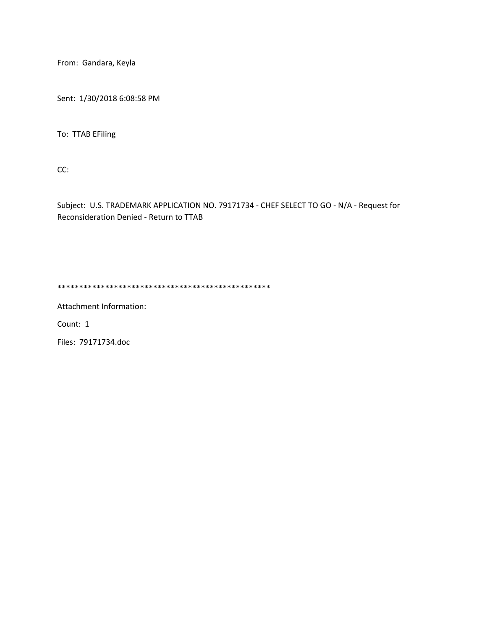From: Gandara, Keyla

Sent: 1/30/2018 6:08:58 PM

To: TTAB EFiling

CC:

Subject: U.S. TRADEMARK APPLICATION NO. 79171734 - CHEF SELECT TO GO - N/A - Request for Reconsideration Denied - Return to TTAB

\*\*\*\*\*\*\*\*\*\*\*\*\*\*\*\*\*\*\*\*\*\*\*\*\*\*\*\*\*\*\*\*\*\*\*\*\*\*\*\*\*\*\*\*\*\*\*\*\*

Attachment Information:

Count: 1

Files: 79171734.doc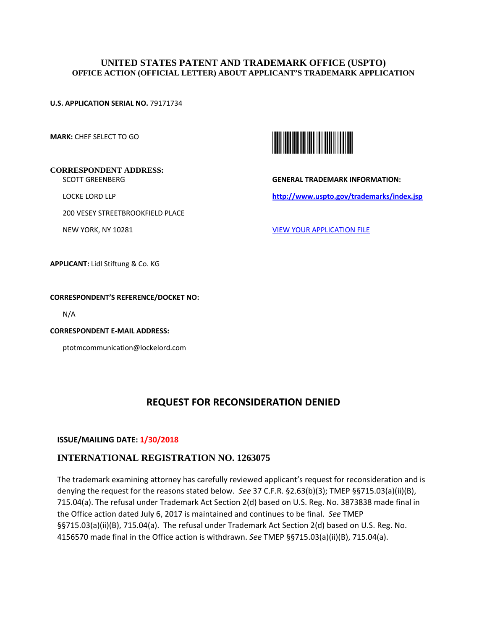## **UNITED STATES PATENT AND TRADEMARK OFFICE (USPTO) OFFICE ACTION (OFFICIAL LETTER) ABOUT APPLICANT'S TRADEMARK APPLICATION**

### **U.S. APPLICATION SERIAL NO.** 79171734

**MARK:** CHEF SELECT TO GO



SCOTT GREENBERG

LOCKE LORD LLP

200 VESEY STREETBROOKFIELD PLACE

NEW YORK, NY 10281



**GENERAL TRADEMARK INFORMATION: http://www.uspto.gov/trademarks/index.jsp** 

VIEW YOUR APPLICATION FILE

**APPLICANT:** Lidl Stiftung & Co. KG

### **CORRESPONDENT'S REFERENCE/DOCKET NO:**

N/A

**CORRESPONDENT E-MAIL ADDRESS:**

ptotmcommunication@lockelord.com

# **REQUEST FOR RECONSIDERATION DENIED**

### **ISSUE/MAILING DATE: 1/30/2018**

## **INTERNATIONAL REGISTRATION NO. 1263075**

The trademark examining attorney has carefully reviewed applicant's request for reconsideration and is denying the request for the reasons stated below. *See* 37 C.F.R. §2.63(b)(3); TMEP §§715.03(a)(ii)(B), 715.04(a). The refusal under Trademark Act Section 2(d) based on U.S. Reg. No. 3873838 made final in the Office action dated July 6, 2017 is maintained and continues to be final. *See* TMEP §§715.03(a)(ii)(B), 715.04(a). The refusal under Trademark Act Section 2(d) based on U.S. Reg. No. 4156570 made final in the Office action is withdrawn. *See* TMEP §§715.03(a)(ii)(B), 715.04(a).